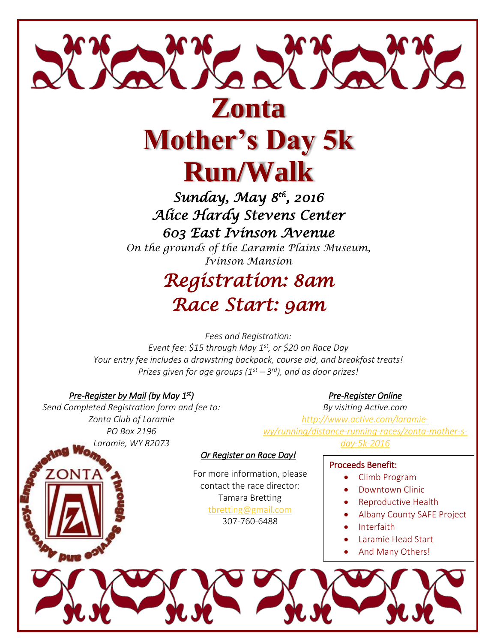

# **Mother's Day 5k Run/Walk**

*Sunday, May 8th, 2016 Alice Hardy Stevens Center 603 East Ivinson Avenue* 

*On the grounds of the Laramie Plains Museum, Ivinson Mansion*

## *Registration: 8am Race Start: 9am*

*Fees and Registration: Event fee: \$15 through May 1st, or \$20 on Race Day Your entry fee includes a drawstring backpack, course aid, and breakfast treats! Prizes given for age groups (1st – 3 rd), and as door prizes!*

### *Pre-Register by Mail (by May 1st)*

*Send Completed Registration form and fee to: Zonta Club of Laramie PO Box 2196 Laramie, WY 82073*

*Pre-Register Online* 

*By visiting Active.com [http://www.active.com/laramie](http://www.active.com/laramie-wy/running/distance-running-races/zonta-mother-s-day-5k-2016)[wy/running/distance-running-races/zonta-mother-s](http://www.active.com/laramie-wy/running/distance-running-races/zonta-mother-s-day-5k-2016)[day-5k-2016](http://www.active.com/laramie-wy/running/distance-running-races/zonta-mother-s-day-5k-2016)*

#### *Or Register on Race Day!*

For more information, please contact the race director: Tamara Bretting [tbretting@gmail.com](mailto:tbretting@gmail.com) 307-760-6488

#### Proceeds Benefit:

- Climb Program
- Downtown Clinic
- Reproductive Health
- Albany County SAFE Project
- Interfaith
- Laramie Head Start
- And Many Others!